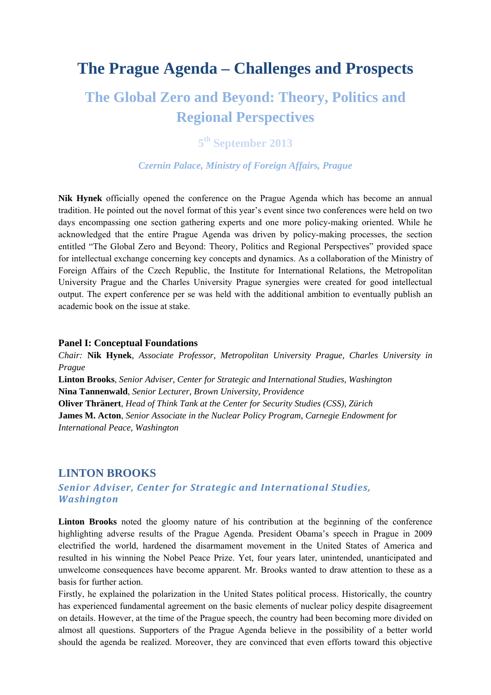# **The Prague Agenda – Challenges and Prospects**

# **The Global Zero and Beyond: Theory, Politics and Regional Perspectives**

# **5th September 2013**

#### *Czernin Palace, Ministry of Foreign Affairs, Prague*

**Nik Hynek** officially opened the conference on the Prague Agenda which has become an annual tradition. He pointed out the novel format of this year's event since two conferences were held on two days encompassing one section gathering experts and one more policy-making oriented. While he acknowledged that the entire Prague Agenda was driven by policy-making processes, the section entitled "The Global Zero and Beyond: Theory, Politics and Regional Perspectives" provided space for intellectual exchange concerning key concepts and dynamics. As a collaboration of the Ministry of Foreign Affairs of the Czech Republic, the Institute for International Relations, the Metropolitan University Prague and the Charles University Prague synergies were created for good intellectual output. The expert conference per se was held with the additional ambition to eventually publish an academic book on the issue at stake.

#### **Panel I: Conceptual Foundations**

*Chair:* **Nik Hynek***, Associate Professor, Metropolitan University Prague, Charles University in Prague*  **Linton Brooks**, *Senior Adviser, Center for Strategic and International Studies, Washington* **Nina Tannenwald**, *Senior Lecturer, Brown University, Providence* **Oliver Thränert**, *Head of Think Tank at the Center for Security Studies (CSS), Zürich* **James M. Acton**, *Senior Associate in the Nuclear Policy Program, Carnegie Endowment for International Peace, Washington*

#### **LINTON BROOKS**

## *Senior Adviser, Center for Strategic and International Studies, Washington*

Linton Brooks noted the gloomy nature of his contribution at the beginning of the conference highlighting adverse results of the Prague Agenda. President Obama's speech in Prague in 2009 electrified the world, hardened the disarmament movement in the United States of America and resulted in his winning the Nobel Peace Prize. Yet, four years later, unintended, unanticipated and unwelcome consequences have become apparent. Mr. Brooks wanted to draw attention to these as a basis for further action.

Firstly, he explained the polarization in the United States political process. Historically, the country has experienced fundamental agreement on the basic elements of nuclear policy despite disagreement on details. However, at the time of the Prague speech, the country had been becoming more divided on almost all questions. Supporters of the Prague Agenda believe in the possibility of a better world should the agenda be realized. Moreover, they are convinced that even efforts toward this objective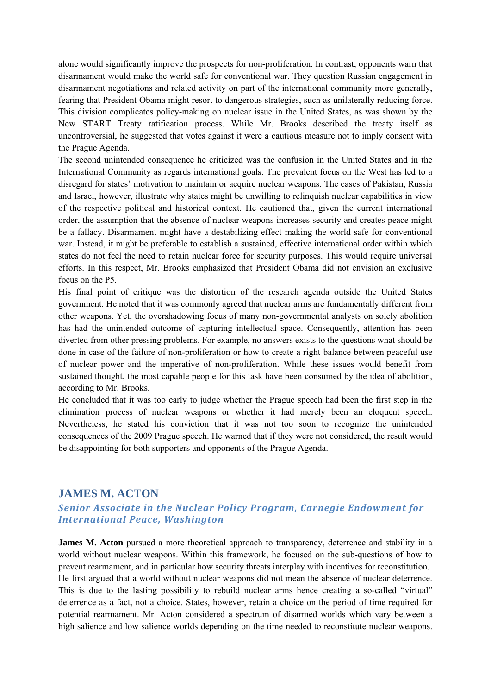alone would significantly improve the prospects for non-proliferation. In contrast, opponents warn that disarmament would make the world safe for conventional war. They question Russian engagement in disarmament negotiations and related activity on part of the international community more generally, fearing that President Obama might resort to dangerous strategies, such as unilaterally reducing force. This division complicates policy-making on nuclear issue in the United States, as was shown by the New START Treaty ratification process. While Mr. Brooks described the treaty itself as uncontroversial, he suggested that votes against it were a cautious measure not to imply consent with the Prague Agenda.

The second unintended consequence he criticized was the confusion in the United States and in the International Community as regards international goals. The prevalent focus on the West has led to a disregard for states' motivation to maintain or acquire nuclear weapons. The cases of Pakistan, Russia and Israel, however, illustrate why states might be unwilling to relinquish nuclear capabilities in view of the respective political and historical context. He cautioned that, given the current international order, the assumption that the absence of nuclear weapons increases security and creates peace might be a fallacy. Disarmament might have a destabilizing effect making the world safe for conventional war. Instead, it might be preferable to establish a sustained, effective international order within which states do not feel the need to retain nuclear force for security purposes. This would require universal efforts. In this respect, Mr. Brooks emphasized that President Obama did not envision an exclusive focus on the P5.

His final point of critique was the distortion of the research agenda outside the United States government. He noted that it was commonly agreed that nuclear arms are fundamentally different from other weapons. Yet, the overshadowing focus of many non-governmental analysts on solely abolition has had the unintended outcome of capturing intellectual space. Consequently, attention has been diverted from other pressing problems. For example, no answers exists to the questions what should be done in case of the failure of non-proliferation or how to create a right balance between peaceful use of nuclear power and the imperative of non-proliferation. While these issues would benefit from sustained thought, the most capable people for this task have been consumed by the idea of abolition, according to Mr. Brooks.

He concluded that it was too early to judge whether the Prague speech had been the first step in the elimination process of nuclear weapons or whether it had merely been an eloquent speech. Nevertheless, he stated his conviction that it was not too soon to recognize the unintended consequences of the 2009 Prague speech. He warned that if they were not considered, the result would be disappointing for both supporters and opponents of the Prague Agenda.

### **JAMES M. ACTON**

### *Senior Associate in the Nuclear Policy Program, Carnegie Endowment for International Peace, Washington*

**James M. Acton** pursued a more theoretical approach to transparency, deterrence and stability in a world without nuclear weapons. Within this framework, he focused on the sub-questions of how to prevent rearmament, and in particular how security threats interplay with incentives for reconstitution. He first argued that a world without nuclear weapons did not mean the absence of nuclear deterrence. This is due to the lasting possibility to rebuild nuclear arms hence creating a so-called "virtual" deterrence as a fact, not a choice. States, however, retain a choice on the period of time required for potential rearmament. Mr. Acton considered a spectrum of disarmed worlds which vary between a high salience and low salience worlds depending on the time needed to reconstitute nuclear weapons.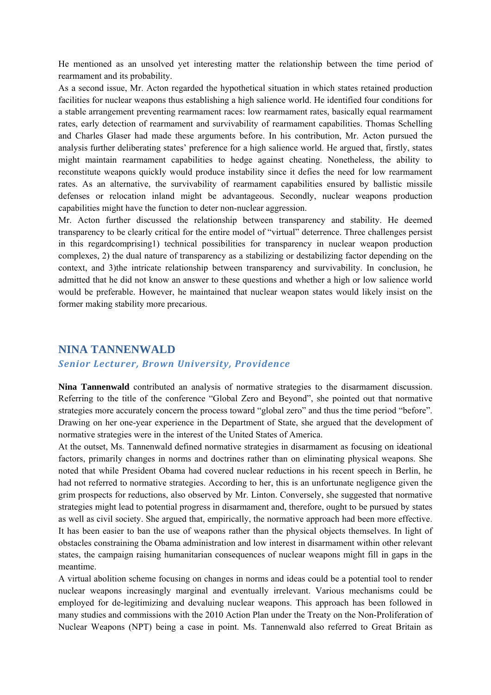He mentioned as an unsolved yet interesting matter the relationship between the time period of rearmament and its probability.

As a second issue, Mr. Acton regarded the hypothetical situation in which states retained production facilities for nuclear weapons thus establishing a high salience world. He identified four conditions for a stable arrangement preventing rearmament races: low rearmament rates, basically equal rearmament rates, early detection of rearmament and survivability of rearmament capabilities. Thomas Schelling and Charles Glaser had made these arguments before. In his contribution, Mr. Acton pursued the analysis further deliberating states' preference for a high salience world. He argued that, firstly, states might maintain rearmament capabilities to hedge against cheating. Nonetheless, the ability to reconstitute weapons quickly would produce instability since it defies the need for low rearmament rates. As an alternative, the survivability of rearmament capabilities ensured by ballistic missile defenses or relocation inland might be advantageous. Secondly, nuclear weapons production capabilities might have the function to deter non-nuclear aggression.

Mr. Acton further discussed the relationship between transparency and stability. He deemed transparency to be clearly critical for the entire model of "virtual" deterrence. Three challenges persist in this regardcomprising1) technical possibilities for transparency in nuclear weapon production complexes, 2) the dual nature of transparency as a stabilizing or destabilizing factor depending on the context, and 3)the intricate relationship between transparency and survivability. In conclusion, he admitted that he did not know an answer to these questions and whether a high or low salience world would be preferable. However, he maintained that nuclear weapon states would likely insist on the former making stability more precarious.

## **NINA TANNENWALD**

#### *Senior Lecturer, Brown University, Providence*

**Nina Tannenwald** contributed an analysis of normative strategies to the disarmament discussion. Referring to the title of the conference "Global Zero and Beyond", she pointed out that normative strategies more accurately concern the process toward "global zero" and thus the time period "before". Drawing on her one-year experience in the Department of State, she argued that the development of normative strategies were in the interest of the United States of America.

At the outset, Ms. Tannenwald defined normative strategies in disarmament as focusing on ideational factors, primarily changes in norms and doctrines rather than on eliminating physical weapons. She noted that while President Obama had covered nuclear reductions in his recent speech in Berlin, he had not referred to normative strategies. According to her, this is an unfortunate negligence given the grim prospects for reductions, also observed by Mr. Linton. Conversely, she suggested that normative strategies might lead to potential progress in disarmament and, therefore, ought to be pursued by states as well as civil society. She argued that, empirically, the normative approach had been more effective. It has been easier to ban the use of weapons rather than the physical objects themselves. In light of obstacles constraining the Obama administration and low interest in disarmament within other relevant states, the campaign raising humanitarian consequences of nuclear weapons might fill in gaps in the meantime.

A virtual abolition scheme focusing on changes in norms and ideas could be a potential tool to render nuclear weapons increasingly marginal and eventually irrelevant. Various mechanisms could be employed for de-legitimizing and devaluing nuclear weapons. This approach has been followed in many studies and commissions with the 2010 Action Plan under the Treaty on the Non-Proliferation of Nuclear Weapons (NPT) being a case in point. Ms. Tannenwald also referred to Great Britain as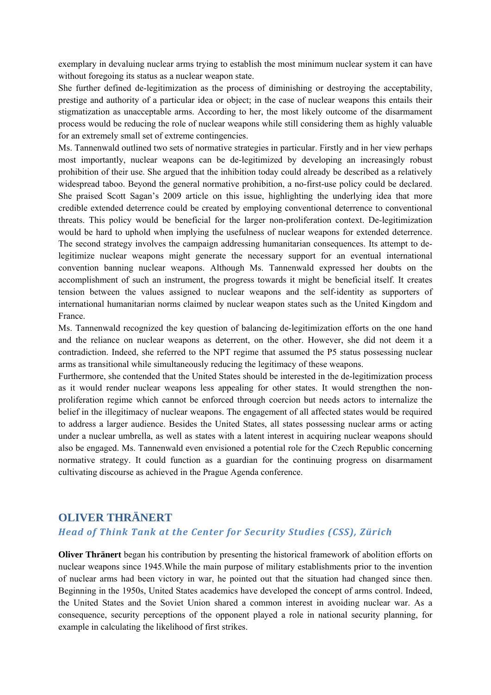exemplary in devaluing nuclear arms trying to establish the most minimum nuclear system it can have without foregoing its status as a nuclear weapon state.

She further defined de-legitimization as the process of diminishing or destroying the acceptability, prestige and authority of a particular idea or object; in the case of nuclear weapons this entails their stigmatization as unacceptable arms. According to her, the most likely outcome of the disarmament process would be reducing the role of nuclear weapons while still considering them as highly valuable for an extremely small set of extreme contingencies.

Ms. Tannenwald outlined two sets of normative strategies in particular. Firstly and in her view perhaps most importantly, nuclear weapons can be de-legitimized by developing an increasingly robust prohibition of their use. She argued that the inhibition today could already be described as a relatively widespread taboo. Beyond the general normative prohibition, a no-first-use policy could be declared. She praised Scott Sagan's 2009 article on this issue, highlighting the underlying idea that more credible extended deterrence could be created by employing conventional deterrence to conventional threats. This policy would be beneficial for the larger non-proliferation context. De-legitimization would be hard to uphold when implying the usefulness of nuclear weapons for extended deterrence. The second strategy involves the campaign addressing humanitarian consequences. Its attempt to delegitimize nuclear weapons might generate the necessary support for an eventual international convention banning nuclear weapons. Although Ms. Tannenwald expressed her doubts on the accomplishment of such an instrument, the progress towards it might be beneficial itself. It creates tension between the values assigned to nuclear weapons and the self-identity as supporters of international humanitarian norms claimed by nuclear weapon states such as the United Kingdom and France.

Ms. Tannenwald recognized the key question of balancing de-legitimization efforts on the one hand and the reliance on nuclear weapons as deterrent, on the other. However, she did not deem it a contradiction. Indeed, she referred to the NPT regime that assumed the P5 status possessing nuclear arms as transitional while simultaneously reducing the legitimacy of these weapons.

Furthermore, she contended that the United States should be interested in the de-legitimization process as it would render nuclear weapons less appealing for other states. It would strengthen the nonproliferation regime which cannot be enforced through coercion but needs actors to internalize the belief in the illegitimacy of nuclear weapons. The engagement of all affected states would be required to address a larger audience. Besides the United States, all states possessing nuclear arms or acting under a nuclear umbrella, as well as states with a latent interest in acquiring nuclear weapons should also be engaged. Ms. Tannenwald even envisioned a potential role for the Czech Republic concerning normative strategy. It could function as a guardian for the continuing progress on disarmament cultivating discourse as achieved in the Prague Agenda conference.

# **OLIVER THRÄNERT**

#### *Head of Think Tank at the Center for Security Studies (CSS), Zürich*

**Oliver Thränert** began his contribution by presenting the historical framework of abolition efforts on nuclear weapons since 1945.While the main purpose of military establishments prior to the invention of nuclear arms had been victory in war, he pointed out that the situation had changed since then. Beginning in the 1950s, United States academics have developed the concept of arms control. Indeed, the United States and the Soviet Union shared a common interest in avoiding nuclear war. As a consequence, security perceptions of the opponent played a role in national security planning, for example in calculating the likelihood of first strikes.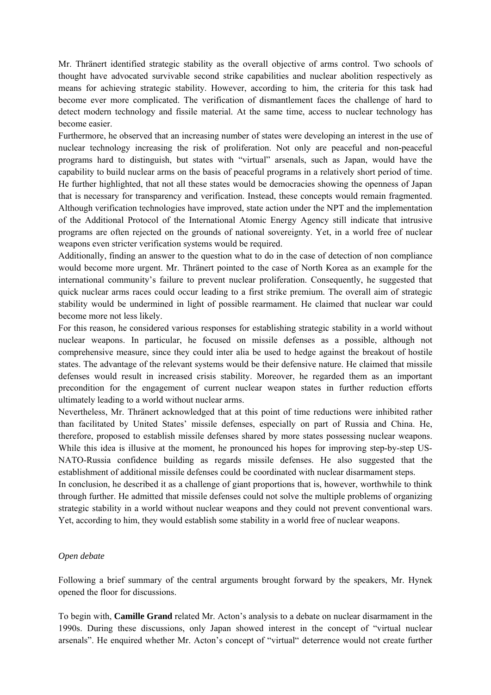Mr. Thränert identified strategic stability as the overall objective of arms control. Two schools of thought have advocated survivable second strike capabilities and nuclear abolition respectively as means for achieving strategic stability. However, according to him, the criteria for this task had become ever more complicated. The verification of dismantlement faces the challenge of hard to detect modern technology and fissile material. At the same time, access to nuclear technology has become easier.

Furthermore, he observed that an increasing number of states were developing an interest in the use of nuclear technology increasing the risk of proliferation. Not only are peaceful and non-peaceful programs hard to distinguish, but states with "virtual" arsenals, such as Japan, would have the capability to build nuclear arms on the basis of peaceful programs in a relatively short period of time. He further highlighted, that not all these states would be democracies showing the openness of Japan that is necessary for transparency and verification. Instead, these concepts would remain fragmented. Although verification technologies have improved, state action under the NPT and the implementation of the Additional Protocol of the International Atomic Energy Agency still indicate that intrusive programs are often rejected on the grounds of national sovereignty. Yet, in a world free of nuclear weapons even stricter verification systems would be required.

Additionally, finding an answer to the question what to do in the case of detection of non compliance would become more urgent. Mr. Thränert pointed to the case of North Korea as an example for the international community's failure to prevent nuclear proliferation. Consequently, he suggested that quick nuclear arms races could occur leading to a first strike premium. The overall aim of strategic stability would be undermined in light of possible rearmament. He claimed that nuclear war could become more not less likely.

For this reason, he considered various responses for establishing strategic stability in a world without nuclear weapons. In particular, he focused on missile defenses as a possible, although not comprehensive measure, since they could inter alia be used to hedge against the breakout of hostile states. The advantage of the relevant systems would be their defensive nature. He claimed that missile defenses would result in increased crisis stability. Moreover, he regarded them as an important precondition for the engagement of current nuclear weapon states in further reduction efforts ultimately leading to a world without nuclear arms.

Nevertheless, Mr. Thränert acknowledged that at this point of time reductions were inhibited rather than facilitated by United States' missile defenses, especially on part of Russia and China. He, therefore, proposed to establish missile defenses shared by more states possessing nuclear weapons. While this idea is illusive at the moment, he pronounced his hopes for improving step-by-step US-NATO-Russia confidence building as regards missile defenses. He also suggested that the establishment of additional missile defenses could be coordinated with nuclear disarmament steps.

In conclusion, he described it as a challenge of giant proportions that is, however, worthwhile to think through further. He admitted that missile defenses could not solve the multiple problems of organizing strategic stability in a world without nuclear weapons and they could not prevent conventional wars. Yet, according to him, they would establish some stability in a world free of nuclear weapons.

#### *Open debate*

Following a brief summary of the central arguments brought forward by the speakers, Mr. Hynek opened the floor for discussions.

To begin with, **Camille Grand** related Mr. Acton's analysis to a debate on nuclear disarmament in the 1990s. During these discussions, only Japan showed interest in the concept of "virtual nuclear arsenals". He enquired whether Mr. Acton's concept of "virtual" deterrence would not create further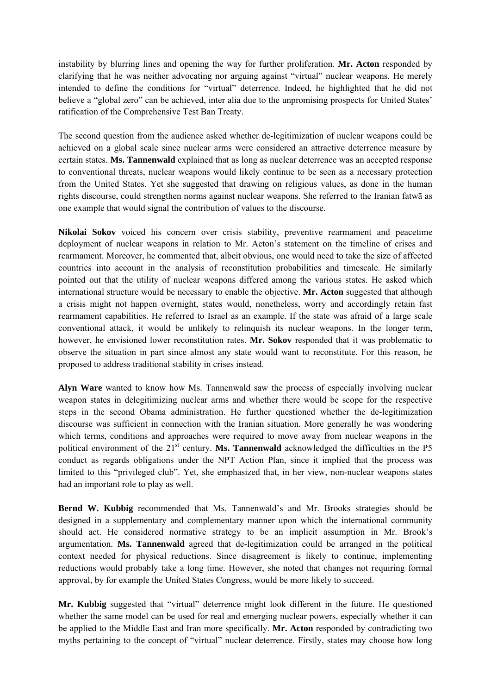instability by blurring lines and opening the way for further proliferation. **Mr. Acton** responded by clarifying that he was neither advocating nor arguing against "virtual" nuclear weapons. He merely intended to define the conditions for "virtual" deterrence. Indeed, he highlighted that he did not believe a "global zero" can be achieved, inter alia due to the unpromising prospects for United States' ratification of the Comprehensive Test Ban Treaty.

The second question from the audience asked whether de-legitimization of nuclear weapons could be achieved on a global scale since nuclear arms were considered an attractive deterrence measure by certain states. **Ms. Tannenwald** explained that as long as nuclear deterrence was an accepted response to conventional threats, nuclear weapons would likely continue to be seen as a necessary protection from the United States. Yet she suggested that drawing on religious values, as done in the human rights discourse, could strengthen norms against nuclear weapons. She referred to the Iranian fatwā as one example that would signal the contribution of values to the discourse.

**Nikolai Sokov** voiced his concern over crisis stability, preventive rearmament and peacetime deployment of nuclear weapons in relation to Mr. Acton's statement on the timeline of crises and rearmament. Moreover, he commented that, albeit obvious, one would need to take the size of affected countries into account in the analysis of reconstitution probabilities and timescale. He similarly pointed out that the utility of nuclear weapons differed among the various states. He asked which international structure would be necessary to enable the objective. **Mr. Acton** suggested that although a crisis might not happen overnight, states would, nonetheless, worry and accordingly retain fast rearmament capabilities. He referred to Israel as an example. If the state was afraid of a large scale conventional attack, it would be unlikely to relinquish its nuclear weapons. In the longer term, however, he envisioned lower reconstitution rates. **Mr. Sokov** responded that it was problematic to observe the situation in part since almost any state would want to reconstitute. For this reason, he proposed to address traditional stability in crises instead.

**Alyn Ware** wanted to know how Ms. Tannenwald saw the process of especially involving nuclear weapon states in delegitimizing nuclear arms and whether there would be scope for the respective steps in the second Obama administration. He further questioned whether the de-legitimization discourse was sufficient in connection with the Iranian situation. More generally he was wondering which terms, conditions and approaches were required to move away from nuclear weapons in the political environment of the 21<sup>st</sup> century. **Ms. Tannenwald** acknowledged the difficulties in the P5 conduct as regards obligations under the NPT Action Plan, since it implied that the process was limited to this "privileged club". Yet, she emphasized that, in her view, non-nuclear weapons states had an important role to play as well.

**Bernd W. Kubbig** recommended that Ms. Tannenwald's and Mr. Brooks strategies should be designed in a supplementary and complementary manner upon which the international community should act. He considered normative strategy to be an implicit assumption in Mr. Brook's argumentation. **Ms. Tannenwald** agreed that de-legitimization could be arranged in the political context needed for physical reductions. Since disagreement is likely to continue, implementing reductions would probably take a long time. However, she noted that changes not requiring formal approval, by for example the United States Congress, would be more likely to succeed.

**Mr. Kubbig** suggested that "virtual" deterrence might look different in the future. He questioned whether the same model can be used for real and emerging nuclear powers, especially whether it can be applied to the Middle East and Iran more specifically. **Mr. Acton** responded by contradicting two myths pertaining to the concept of "virtual" nuclear deterrence. Firstly, states may choose how long